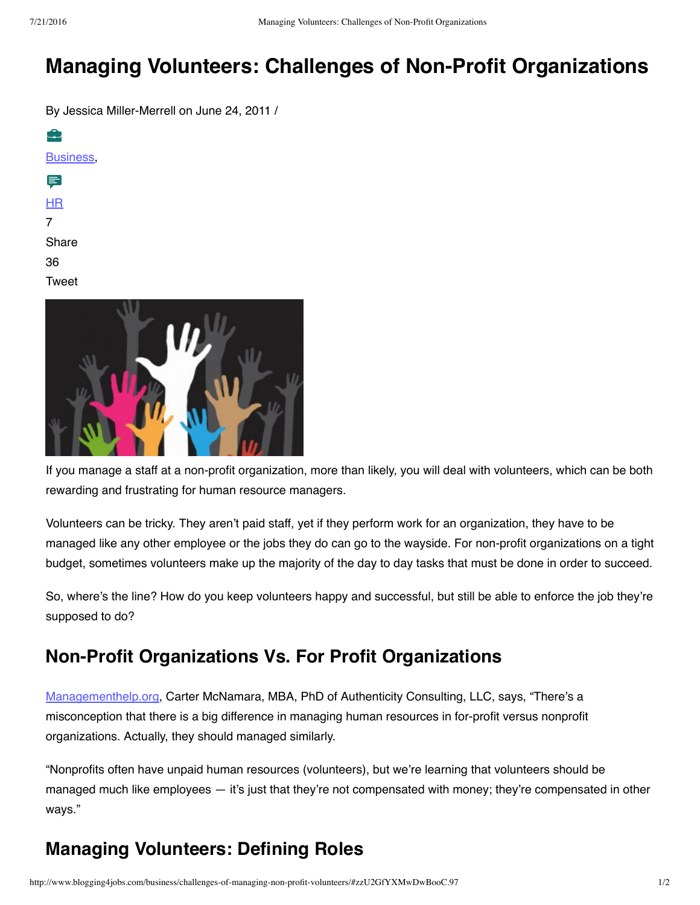# **Managing Volunteers: Challenges of Non-Profit Organizations**

By Jessica Miller-Merrell on June 24, 2011 /

⊕ [Business,](http://www.blogging4jobs.com/category/business/) ᇢ [HR](http://www.blogging4jobs.com/category/hr/) 7 Share 36 Tweet

If you manage a staff at a non-profit organization, more than likely, you will deal with volunteers, which can be both rewarding and frustrating for human resource managers.

Volunteers can be tricky. They aren't paid staff, yet if they perform work for an organization, they have to be managed like any other employee or the jobs they do can go to the wayside. For non-profit organizations on a tight budget, sometimes volunteers make up the majority of the day to day tasks that must be done in order to succeed.

So, where's the line? How do you keep volunteers happy and successful, but still be able to enforce the job they're supposed to do?

### **Non-Profit Organizations Vs. For Profit Organizations**

[Managementhelp.org](http://www.managementhelp.org/), Carter McNamara, MBA, PhD of Authenticity Consulting, LLC, says, "There's a misconception that there is a big difference in managing human resources in for-profit versus nonprofit organizations. Actually, they should managed similarly.

"Nonprofits often have unpaid human resources (volunteers), but we're learning that volunteers should be managed much like employees — it's just that they're not compensated with money; they're compensated in other ways."

## **Managing Volunteers: Defining Roles**